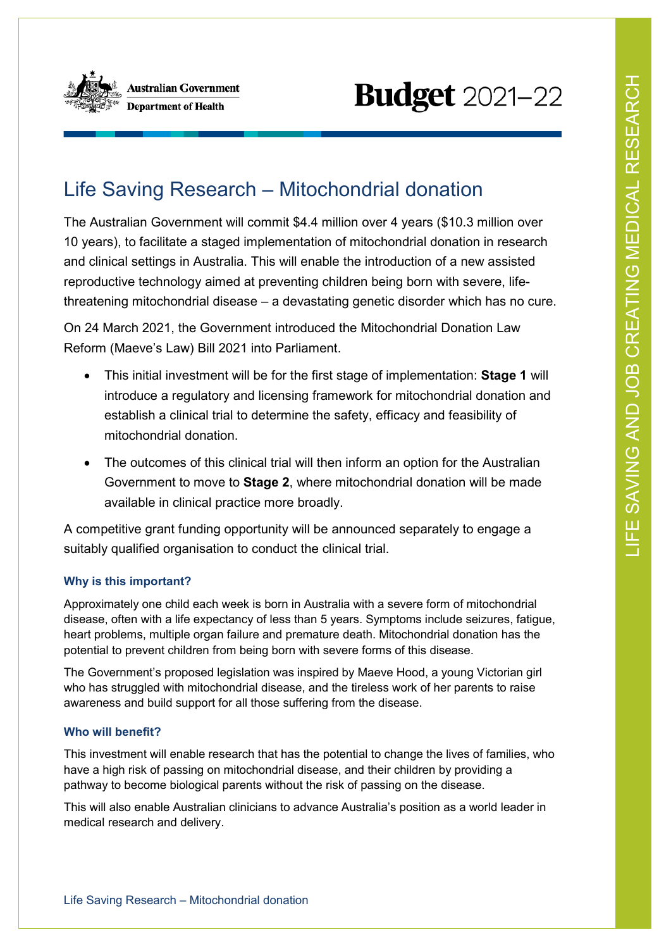

# **Budget** 2021-22

## Life Saving Research – Mitochondrial donation

The Australian Government will commit \$4.4 million over 4 years (\$10.3 million over 10 years), to facilitate a staged implementation of mitochondrial donation in research and clinical settings in Australia. This will enable the introduction of a new assisted reproductive technology aimed at preventing children being born with severe, lifethreatening mitochondrial disease – a devastating genetic disorder which has no cure.

On 24 March 2021, the Government introduced the Mitochondrial Donation Law Reform (Maeve's Law) Bill 2021 into Parliament.

- This initial investment will be for the first stage of implementation: **Stage 1** will introduce a regulatory and licensing framework for mitochondrial donation and establish a clinical trial to determine the safety, efficacy and feasibility of mitochondrial donation.
- The outcomes of this clinical trial will then inform an option for the Australian Government to move to **Stage 2**, where mitochondrial donation will be made available in clinical practice more broadly.

A competitive grant funding opportunity will be announced separately to engage a suitably qualified organisation to conduct the clinical trial.

### **Why is this important?**

Approximately one child each week is born in Australia with a severe form of mitochondrial disease, often with a life expectancy of less than 5 years. Symptoms include seizures, fatigue, heart problems, multiple organ failure and premature death. Mitochondrial donation has the potential to prevent children from being born with severe forms of this disease.

The Government's proposed legislation was inspired by Maeve Hood, a young Victorian girl who has struggled with mitochondrial disease, and the tireless work of her parents to raise awareness and build support for all those suffering from the disease.

### **Who will benefit?**

This investment will enable research that has the potential to change the lives of families, who have a high risk of passing on mitochondrial disease, and their children by providing a pathway to become biological parents without the risk of passing on the disease.

This will also enable Australian clinicians to advance Australia's position as a world leader in medical research and delivery.